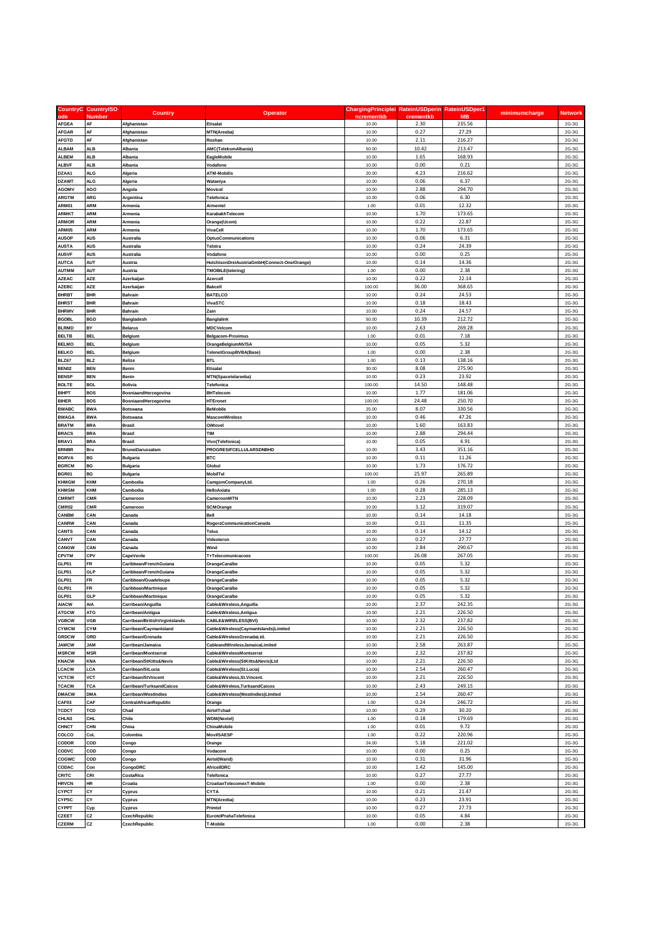|                              | <b>CountryC</b> CountryISO | <b>Country</b>                 |                                              | ChargingPrinciplei RateinUSDperin RateinUSDper1 |               |                  | minimumcharge | <b>Network</b> |
|------------------------------|----------------------------|--------------------------------|----------------------------------------------|-------------------------------------------------|---------------|------------------|---------------|----------------|
| ode                          | Number                     |                                | <b>Operator</b>                              | ncrementkb                                      | crementkb     | <b>MB</b>        |               |                |
| <b>AFGEA</b>                 | AF                         | Afghanistan                    | Etisalat                                     | 10.00                                           | 2.30          | 235.56           |               | 2G-3G          |
| <b>AFGAR</b>                 | AF                         | Afghanistan                    | MTN(Areeba)                                  | 10.00                                           | 0.27          | 27.29            |               | 2G-3G          |
| <b>AFGTD</b>                 | AF                         | Afghanistan                    | Roshan                                       | 10.00                                           | 2.11          | 216.27           |               | 2G-3G          |
| <b>ALBAM</b><br><b>ALBEM</b> | ALB<br><b>ALB</b>          | Albania<br>Albania             | AMC(TelekomAlbania)<br>EagleMobile           | 50.00<br>10.00                                  | 10.42<br>1.65 | 213.47<br>168.93 |               | 2G-3G<br>2G-3G |
| <b>ALBVF</b>                 | <b>ALB</b>                 | Albania                        | Vodafone                                     | 10.00                                           | 0.00          | 0.21             |               | 2G-3G          |
| DZAA1                        | ALG                        | Algeria                        | ATM-Mobilis                                  | 20.00                                           | 4.23          | 216.62           |               | 2G-3G          |
| <b>DZAWT</b>                 | <b>ALG</b>                 | Algeria                        | Wataniya                                     | 10.00                                           | 0.06          | 6.37             |               | 2G-3G          |
| <b>AGOMV</b>                 | AGO                        | Angola                         | Movicel                                      | 10.00                                           | 2.88          | 294.70           |               | 2G-3G          |
| <b>ARGTM</b>                 | ARG                        | Argentina                      | Telefonica                                   | 10.00                                           | 0.06          | 6.30             |               | 2G-3G          |
| <b>ARM01</b>                 | ARM                        | Armenia                        | Armentel                                     | 1.00                                            | 0.01          | 12.32            |               | 2G-3G          |
| <b>ARMKT</b>                 | <b>ARM</b>                 | Armenia                        | KarabakhTelecom                              | 10.00                                           | 1.70          | 173.65           |               | 2G-3G          |
| <b>ARMOR</b>                 | ARM                        | Armenia                        | Orange(Ucom)                                 | 10.00                                           | 0.22          | 22.87            |               | 2G-3G          |
| <b>ARM05</b>                 | ARM                        | Armenia                        | VivaCell                                     | 10.00                                           | 1.70          | 173.65           |               | 2G-3G          |
| <b>AUSOP</b>                 | <b>AUS</b>                 | Australia                      | OptusCommunications                          | 10.00                                           | 0.06          | 6.31             |               | 2G-3G          |
| <b>AUSTA</b>                 | AUS                        | Australia                      | Telstra                                      | 10.00                                           | 0.24          | 24.39            |               | 2G-3G          |
| <b>AUSVF</b>                 | <b>AUS</b>                 | Australia                      | Vodafone                                     | 10.00                                           | 0.00          | 0.25             |               | 2G-3G          |
| <b>AUTCA</b>                 | <b>AUT</b>                 | Austria                        | HutchisonDreiAustriaGmbH(Connect-One/Orange) | 10.00                                           | 0.14          | 14.36            |               | 2G-3G          |
| <b>AUTMM</b>                 | <b>AUT</b>                 | Austria                        | <b>TMOBILE(telering)</b>                     | 1.00                                            | 0.00          | 2.38             |               | 2G-3G          |
| <b>AZEAC</b>                 | AZE                        | Azerbaijan                     | Azercell                                     | 10.00                                           | 0.22          | 22.14            |               | 2G-3G          |
| <b>AZEBC</b>                 | <b>AZE</b>                 | Azerbaijan                     | Bakcell                                      | 100.00                                          | 36.00         | 368.65           |               | 2G-3G          |
| <b>BHRBT</b>                 | <b>BHR</b>                 | Bahrain                        | <b>BATELCO</b>                               | 10.00                                           | 0.24          | 24.53            |               | 2G-3G          |
| <b>BHRST</b>                 | <b>BHR</b>                 | Bahrain                        | VivaSTC                                      | 10.00                                           | 0.18          | 18.43            |               | 2G-3G          |
| <b>BHRMV</b>                 | <b>BHR</b>                 | Bahrain                        | Zain                                         | 10.00                                           | 0.24          | 24.57            |               | 2G-3G          |
| BGDBL                        | BGD                        | Bangladesh                     | <b>Banglalink</b>                            | 50.00                                           | 10.39         | 212.72           |               | 2G-3G          |
| <b>BLRMD</b>                 | BY                         | Belarus                        | <b>MDCVelcom</b>                             | 10.00                                           | 2.63          | 269.28           |               | 2G-3G          |
| <b>BELTB</b>                 | <b>BEL</b>                 | Belgium                        | Belgacom-Proximus                            | 1.00                                            | 0.01          | 7.18             |               | 2G-3G          |
| <b>BELMO</b>                 | <b>BEL</b>                 | Belgium                        | OrangeBelgiumNV/SA                           | 10.00                                           | 0.05          | 5.32             |               | 2G-3G          |
| <b>BELKO</b>                 | BEL                        | Belgium                        | TelenetGroupBVBA(Base)                       | 1.00                                            | 0.00          | 2.38             |               | 2G-3G          |
| BLZ67                        | <b>BLZ</b>                 | Belize                         | <b>BTL</b>                                   | 1.00                                            | 0.13          | 138.16           |               | 2G-3G          |
| BEN02                        | <b>BEN</b>                 | Benin                          | <b>Etisalat</b>                              | 30.00                                           | 8.08          | 275.90           |               | 2G-3G          |
| <b>BENSP</b>                 | <b>BEN</b>                 | Benin                          | MTN(Spacetelareeba)                          | 10.00                                           | 0.23          | 23.92            |               | 2G-3G          |
| <b>BOLTE</b>                 | <b>BOL</b>                 | Bolivia                        | Telefonica                                   | 100.00                                          | 14.50         | 148.48           |               | 2G-3G          |
| BIHPT                        | <b>BOS</b>                 | BosniaandHerzegovina           | <b>BHTelecom</b>                             | 10.00                                           | 1.77          | 181.06           |               | 2G-3G          |
| BIHER                        | <b>BOS</b>                 | BosniaandHerzegovina           | <b>HTEronet</b>                              | 100.00                                          | 24.48         | 250.70           |               | 2G-3G          |
| <b>BWABC</b>                 | <b>BWA</b>                 | Botswana                       | <b>BeMobile</b>                              | 25.00                                           | 8.07          | 330.56           |               | 2G-3G          |
| <b>BWAGA</b>                 | <b>BWA</b>                 | Botswana                       | <b>MascomWireless</b>                        | 10.00                                           | 0.46          | 47.26            |               | 2G-3G          |
| <b>BRATM</b>                 | <b>BRA</b>                 | Brasil                         | OiMovel                                      | 10.00                                           | 1.60          | 163.83           |               | 2G-3G          |
| <b>BRACS</b>                 | <b>BRA</b>                 | <b>Brasil</b>                  | <b>TIM</b>                                   | 10.00                                           | 2.88          | 294.44           |               | 2G-3G          |
| BRAV1                        | <b>BRA</b>                 | <b>Brasil</b>                  | Vivo(Telefonica)                             | 10.00                                           | 0.05          | 4.91             |               | 2G-3G          |
| <b>BRNBR</b>                 | Bru                        | <b>BruneiDarussalam</b>        | PROGRESIFCELLULARSDNBHD                      | 10.00                                           | 3.43          | 351.16           |               | 2G-3G          |
| <b>BGRVA</b>                 | BG                         | <b>Bulgaria</b>                | <b>BTC</b>                                   | 10.00                                           | 0.11          | 11.26            |               | 2G-3G          |
| <b>BGRCM</b>                 | BG                         | <b>Bulgaria</b>                | Globul                                       | 10.00                                           | 1.73          | 176.72           |               | 2G-3G          |
| BGR01                        | BG                         | Bulgaria                       | MobilTel                                     | 100.00                                          | 25.97         | 265.89           |               | 2G-3G          |
| KHMGM                        | KHM                        | Cambodia                       | CamgsmCompanyLtd.                            | 1.00                                            | 0.26          | 270.18           |               | 2G-3G          |
| <b>KHMSM</b>                 | <b>KHM</b>                 | Cambodia                       | HelloAxiata                                  | 1.00                                            | 0.28          | 285.13           |               | 2G-3G          |
| CMRMT                        | CMR                        | Cameroon                       | CameroonMTN                                  | 10.00                                           | 2.23          | 228.09           |               | 2G-3G          |
| CMR02                        | CMR                        | Cameroon                       | SCMOrange                                    | 10.00                                           | 3.12          | 319.07           |               | 2G-3G          |
| CANBM                        | CAN                        | Canada                         | Bell                                         | 10.00                                           | 0.14          | 14.18            |               | 2G-3G          |
| CANRW                        | CAN                        | Canada                         | RogersCommunicationCanada                    | 10.00                                           | 0.11          | 11.35            |               | 2G-3G          |
| CANTS                        | CAN                        | Canada                         | Telus                                        | 10.00                                           | 0.14          | 14.12            |               | 2G-3G          |
| CANVT                        | CAN                        | Canada                         | Videoteron                                   | 10.00                                           | 0.27          | 27.77            |               | 2G-3G          |
| CANGW                        | CAN                        | Canada                         | Wind                                         | 10.00                                           | 2.84          | 290.67           |               | 2G-3G          |
| <b>CPVTM</b>                 | CPV                        | CapeVerde                      | T+Telecomunicacoes                           | 100.00                                          | 26.08         | 267.05           |               | 2G-3G          |
| GLP01                        | FR                         | Caribbean/FrenchGuiana         | OrangeCaraïbe                                | 10.00                                           | 0.05          | 5.32             |               | 2G-3G          |
| GLP01                        | GLP                        | Caribbean/FrenchGuiana         | OrangeCaraïbe                                | 10.00                                           | 0.05          | 5.32             |               | 2G-3G          |
| GLP01                        | FR                         | Caribbean/Guadeloupe           | OrangeCaraïbe                                | 10.00                                           | 0.05          | 5.32             |               | 2G-3G          |
| GLP01                        | FR                         | Caribbean/Martinique           | OrangeCaraïbe                                | 10.00                                           | 0.05          | 5.32             |               | 2G-3G          |
| GLP01                        | GLP                        | Caribbean/Martinique           | OrangeCaraïbe                                | 10.00                                           | 0.05          | 5.32             |               | 2G-3G          |
| <b>AIACW</b>                 | AIA                        | Carribean/Anguilla             | Cable&Wireless, Anguilla                     | 10.00                                           | 2.37          | 242.35           |               | 2G-3G          |
| <b>ATGCW</b>                 | <b>ATG</b>                 | Carribean/Antigua              | Cable&Wireless, Antigua                      | 10.00                                           | 2.21          | 226.50           |               | 2G-3G          |
| VGBCW                        | VGB                        | Carribean/BritishVirginIslands | CABLE&WIRELESS(BVI)                          | 10.00                                           | 2.32          | 237.82           |               | 2G-3G          |
| CYMCW                        | CYM                        | Carribean/CaymanIsland         | Cable&Wireless(CaymanIslands)Limited         | 10.00                                           | 2.21          | 226.50           |               | 2G-3G          |
| <b>GRDCW</b>                 | GRD                        | Carribean/Grenada              | Cable&WirelessGrenadaLtd.                    | 10.00                                           | 2.21          | 226.50           |               | 2G-3G          |
| <b>JAMCW</b>                 | JAM                        | Carribean/Jamaica              | CableandWirelessJamaicaLimited               | 10.00                                           | 2.58          | 263.87           |               | 2G-3G          |
| <b>MSRCW</b>                 | <b>MSR</b>                 | Carribean/Montserrat           | Cable&WirelessMontserrat                     | 10.00                                           | 2.32          | 237.82           |               | 2G-3G          |
| <b>KNACW</b>                 | KNA                        | Carribean/StKitts&Nevis        | Cable&Wireless(StKitts&Nevis)Ltd             | 10.00                                           | 2.21          | 226.50           |               | 2G-3G          |
| <b>CACW</b>                  | LCA                        | Carribean/StLucia              | Cable&Wireless(St.Lucia)                     | 10.00                                           | 2.54          | 260.47           |               | 2G-3G          |
| VCTCW                        | <b>VCT</b>                 | Carribean/StVincent            | Cable&Wireless,St.Vincent.                   | 10.00                                           | 2.21          | 226.50           |               | 2G-3G          |
| <b>TCACW</b>                 | <b>TCA</b>                 | Carribean/TurksandCaicos       | Cable&Wireless,TurksandCaicos                | 10.00                                           | 2.43          | 249.15           |               | 2G-3G          |
| <b>DMACW</b>                 | <b>DMA</b>                 | Carribean/WestIndies           | Cable&Wireless(WestIndies)Limited            | 10.00                                           | 2.54          | 260.47           |               | 2G-3G          |
| CAF03                        | CAF                        | CentralAfricanRepublic         | Orange                                       | 1.00                                            | 0.24          | 246.72           |               | 2G-3G          |
| TCDCT                        | TCD                        | Chad                           | AirtelTchad                                  | 10.00                                           | 0.29          | 30.20            |               | 2G-3G          |
| CHLN3                        | CHL                        | Chile                          | WOM(Nextel)                                  | 1.00                                            | 0.18          | 179.69           |               | 2G-3G          |
| CHNCT                        | CHN                        | China                          | ChinaMobile                                  | 1.00                                            | 0.01          | 9.72             |               | 2G-3G          |
| COLCO                        | CoL                        | Colombia                       | <b>MovilSAESP</b>                            | 1.00                                            | 0.22          | 220.96           |               | 2G-3G          |
| CODOR                        | COD                        | Congo                          | Orange                                       | 24.00                                           | 5.18          | 221.02           |               | 2G-3G          |
| CODVC                        | COD                        | Congo                          | Vodacom                                      | 10.00                                           | 0.00          | 0.25             |               | 2G-3G          |
| cogwc                        | COD                        | Congo                          | Airtel(Warid)                                | 10.00                                           | 0.31          | 31.96            |               | 2G-3G          |
| CODAC                        | Con                        | CongoDRC                       | AfricelIDRC                                  | 10.00<br>10.00                                  | 1.42<br>0.27  | 145.00<br>27.77  |               | 2G-3G          |
| CRITC                        | CRI                        | CostaRica                      | Telefonica                                   |                                                 |               |                  |               | 2G-3G          |
| <b>HRVCN</b>                 | HR                         | Croatia                        | CroatianTelecomexT-Mobile                    | 1.00                                            | 0.00          | 2.38             |               | 2G-3G          |
| CYPCT                        | СY                         | Cyprus                         | <b>CYTA</b>                                  | 10.00                                           | 0.21          | 21.47            |               | 2G-3G          |
| CYPSC<br>CYPPT               | СY                         | Cyprus                         | MTN(Areeba)<br>Primtel                       | 10.00<br>10.00                                  | 0.23<br>0.27  | 23.91<br>27.73   |               | 2G-3G<br>2G-3G |
|                              | Cyp                        | Cyprus                         |                                              |                                                 |               |                  |               |                |
| CZEET                        | CZ                         | CzechRepublic                  | EurotelPrahaTelefonica                       | 10.00                                           | 0.05          | 4.84             |               | 2G-3G          |
| <b>CZERM</b>                 | CZ                         | CzechRepublic                  | T-Mobile                                     | 1.00                                            | 0.00          | 2.38             |               | 2G-3G          |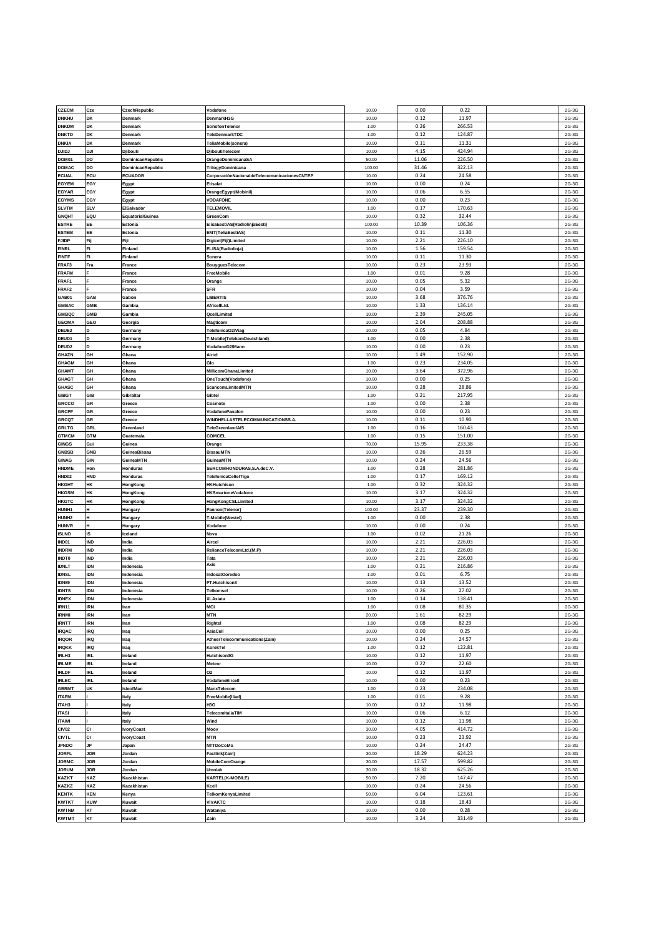| <b>CZECM</b>      | Cze        | CzechRepublic     | Vodafone                                     | 10.00  | 0.00  | 0.22   | 2G-3G |
|-------------------|------------|-------------------|----------------------------------------------|--------|-------|--------|-------|
| <b>DNKHU</b>      | DK         | Denmark           | DenmarkH3G                                   | 10.00  | 0.12  | 11.97  | 2G-3G |
| <b>ONKDM</b>      | DK         | <b>Denmark</b>    | SonofonTelenor                               | 1.00   | 0.26  | 266.53 | 2G-3G |
|                   |            |                   |                                              |        |       |        |       |
| <b>ONKTD</b>      | DK         | Denmark           | TeleDenmarkTDC                               | 1.00   | 0.12  | 124.87 | 2G-3G |
| <b>DNKIA</b>      | DK         | Denmark           | TeliaMobile(sonera)                          | 10.00  | 0.11  | 11.31  | 2G-3G |
| Lailc             | DJI        | Djibouti          | DjiboutiTelecom                              | 10.00  | 4.15  | 424.94 | 2G-3G |
| <b>DOM01</b>      | DO         | DominicanRepublic | OrangeDominicanaSA                           | 50.00  | 11.06 | 226.50 | 2G-3G |
|                   |            |                   |                                              |        |       |        |       |
| <b>OMAC</b>       | DO         | DominicanRepublic | TrilogyDominicana                            | 100.00 | 31.46 | 322.13 | 2G-3G |
| <b>CUAL</b>       | ECU        | <b>ECUADOR</b>    | CorporaciónNacionaldeTelecomunicacionesCNTEP | 10.00  | 0.24  | 24.58  | 2G-3G |
| EGYEM             | EGY        | Egypt             | Etisalat                                     | 10.00  | 0.00  | 0.24   | 2G-3G |
|                   | EGY        |                   |                                              |        |       |        |       |
| <b>GYAR</b>       |            | Egypt             | OrangeEgypt(Mobinil)                         | 10.00  | 0.06  | 6.55   | 2G-3G |
| <b>GYMS</b>       | EGY        | Egypt             | <b>VODAFONE</b>                              | 10.00  | 0.00  | 0.23   | 2G-3G |
| <b>LVTM</b>       | <b>SLV</b> | ElSalvador        | <b>TELEMOVIL</b>                             | 1.00   | 0.17  | 170.63 | 2G-3G |
| <b>SNQHT</b>      | EQU        | EquatorialGuinea  | GreenCom                                     | 10.00  | 0.32  | 32.44  | 2G-3G |
|                   |            |                   |                                              |        |       |        |       |
| <b>STRE</b>       | EE         | Estonia           | ElisaEestiAS(RadiolinjaEesti)                | 100.00 | 10.39 | 106.36 | 2G-3G |
| <b>STEM</b>       | EE         | Estonia           | EMT(TeliaEestiAS)                            | 10.00  | 0.11  | 11.30  | 2G-3G |
| <b>JIDP</b>       | Fij        | Fiji              | Digicel(Fiji)Limited                         | 10.00  | 2.21  | 226.10 | 2G-3G |
|                   | FI         |                   |                                              |        |       |        |       |
| <b>INRL</b>       |            | Finland           | ELISA(Radiolinja)                            | 10.00  | 1.56  | 159.54 | 2G-3G |
| <b>INTF</b>       | FI         | Finland           | Sonera                                       | 10.00  | 0.11  | 11.30  | 2G-3G |
| <b>RAF3</b>       | Fra        | France            | BouyguesTelecom                              | 10.00  | 0.23  | 23.93  | 2G-3G |
| <b>RAFM</b>       |            | France            | FreeMobile                                   | 1.00   | 0.01  | 9.28   | 2G-3G |
|                   |            |                   |                                              |        |       |        |       |
| RAF1              |            | France            | Orange                                       | 10.00  | 0.05  | 5.32   | 2G-3G |
| RAF <sub>2</sub>  |            | France            | SFR                                          | 10.00  | 0.04  | 3.59   | 2G-3G |
| 3AB01             | GAB        | Gabon             | <b>LIBERTIS</b>                              | 10.00  | 3.68  | 376.76 | 2G-3G |
| <b>SMBAC</b>      | GMB        | Gambia            | AfricellLtd.                                 | 10.00  | 1.33  | 136.14 | 2G-3G |
|                   |            |                   |                                              |        |       |        |       |
| SMBQC             | <b>GMB</b> | Gambia            | QcellLimited                                 | 10.00  | 2.39  | 245.05 | 2G-3G |
| <b>SEOMA</b>      | GEO        | Georgia           | Magticom                                     | 10.00  | 2.04  | 208.88 | 2G-3G |
| <b>DEUE2</b>      | D          | Germany           | TelefonicaO2/Viag                            | 10.00  | 0.05  | 4.84   | 2G-3G |
|                   |            |                   |                                              |        |       |        |       |
| DEUD1             | D          | Germany           | T-Mobile(TelekomDeutshland)                  | 1.00   | 0.00  | 2.38   | 2G-3G |
| DEUD <sub>2</sub> | D          | Germany           | VodafoneD2/Mann                              | 10.00  | 0.00  | 0.23   | 2G-3G |
| <b>GHAZN</b>      | GH         | Ghana             | Airtel                                       | 10.00  | 1.49  | 152.90 | 2G-3G |
| <b>SHAGM</b>      | GH         | Ghana             | Glo                                          | 1.00   | 0.23  | 234.05 | 2G-3G |
|                   |            |                   |                                              |        |       |        |       |
| <b>SHAMT</b>      | GH         | Ghana             | MillicomGhanaLimited                         | 10.00  | 3.64  | 372.96 | 2G-3G |
| <b>GHAGT</b>      | GH         | Ghana             | OneTouch(Vodafone)                           | 10.00  | 0.00  | 0.25   | 2G-3G |
| <b>HASC</b>       | GH         | Ghana             | ScancomLimitedMTN                            | 10.00  | 0.28  | 28.86  | 2G-3G |
|                   |            |                   |                                              |        |       |        |       |
| <b>SIBGT</b>      | GIB        | Gibraltar         | Gibtel                                       | 1.00   | 0.21  | 217.95 | 2G-3G |
| <b>GRCCO</b>      | GR         | Greece            | Cosmote                                      | 1.00   | 0.00  | 2.38   | 2G-3G |
| <b>GRCPF</b>      | GR         | Greece            | VodafonePanafon                              | 10.00  | 0.00  | 0.23   | 2G-3G |
| <b>GRCQT</b>      | GR         | Greece            | WINDHELLASTELECOMMUNICATIONSS.A              | 10.00  | 0.11  | 10.90  | 2G-3G |
|                   |            |                   |                                              |        |       |        |       |
| <b>SRLTG</b>      | GRL        | Greenland         | TeleGreenlandA/S                             | 1.00   | 0.16  | 160.43 | 2G-3G |
| <b>STMCM</b>      | <b>GTM</b> | Guatemala         | COMCEL                                       | 1.00   | 0.15  | 151.00 | 2G-3G |
| <b>GINGS</b>      | Gui        | Guinea            | Orange                                       | 70.00  | 15.95 | 233.38 | 2G-3G |
|                   | GNB        |                   |                                              |        |       |        |       |
| <b>GNBSB</b>      |            | GuineaBissau      | BissauMTN                                    | 10.00  | 0.26  | 26.59  | 2G-3G |
|                   | GIN        |                   |                                              |        |       |        | 2G-3G |
| <b>SINAG</b>      |            | GuineaMTN         | GuineaMTN                                    | 10.00  | 0.24  | 24.56  |       |
| <b>INDME</b>      | Hon        | Honduras          | SERCOMHONDURAS, S.A.deC.V.                   | 1.00   | 0.28  | 281.86 | 2G-3G |
|                   |            |                   |                                              |        |       |        |       |
| HND02             | HND        | Honduras          | TelefonicaCeltelTigo                         | 1.00   | 0.17  | 169.12 | 2G-3G |
| HKGHT             | HK         | HongKong          | <b>HKHutchison</b>                           | 1.00   | 0.32  | 324.32 | 2G-3G |
| <b>IKGSM</b>      | HK         | HongKong          | <b>HKSmartoneVodafone</b>                    | 10.00  | 3.17  | 324.32 | 2G-3G |
|                   | HK         |                   |                                              | 10.00  | 3.17  | 324.32 | 2G-3G |
| <b>IKGTC</b>      |            | HongKong          | HongKongCSLLimited                           |        |       |        |       |
| <b>IUNH1</b>      | H          | Hungary           | Pannon(Telenor)                              | 100.00 | 23.37 | 239.30 | 2G-3G |
| HUNH2             | H          | Hungary           | T-Mobile(Westel)                             | 1.00   | 0.00  | 2.38   | 2G-3G |
| <b>HUNVR</b>      | H          | Hungary           | Vodafone                                     | 10.00  | 0.00  | 0.24   | 2G-3G |
|                   | IS         |                   | Nova                                         |        |       |        |       |
| <b>SLNO</b>       |            | Iceland           |                                              | 1.00   | 0.02  | 21.26  | 2G-3G |
| ND01              | IND        | India             | Aircel                                       | 10.00  | 2.21  | 226.03 | 2G-3G |
| <b>NDRM</b>       | IND        | India             | RelianceTelecomLtd.(M.P)                     | 10.00  | 2.21  | 226.03 | 2G-3G |
| <b>NDT0</b>       | IND        | India             | Tata                                         | 10.00  | 2.21  | 226.03 | 2G-3G |
|                   |            |                   | Axis                                         |        |       |        |       |
| <b>DNLT</b>       | IDN        | Indonesia         |                                              | 1.00   | 0.21  | 216.86 | 2G-3G |
| <b>DNSL</b>       | IDN        | Indonesia         | IndosatOoredoo                               | 1.00   | 0.01  | 6.75   | 2G-3G |
| DN89              | IDN        | Indonesia         | PT.Hutchison3                                | 10.00  | 0.13  | 13.52  | 2G-3G |
| <b>IDNTS</b>      | IDN        | Indonesia         | Telkomsel                                    | 10.00  | 0.26  | 27.02  | 2G-3G |
| <b>IDNEX</b>      | <b>IDN</b> |                   |                                              |        |       |        |       |
|                   |            | Indonesia         | <b>XLAxiata</b>                              | 1.00   | 0.14  | 138.41 | 2G-3G |
| <b>IRN11</b>      | <b>IRN</b> | Iran              | MCI                                          | 1.00   | 0.08  | 80.35  | 2G-3G |
| <b>IRNMI</b>      | <b>IRN</b> | Iran              | <b>MTN</b>                                   | 20.00  | 1.61  | 82.29  | 2G-3G |
| <b>IRNTT</b>      | IRN        | Iran              | Rightel                                      | 1.00   | 0.08  | 82.29  | 2G-3G |
| <b>IRQAC</b>      | IRQ        | Iraq              | AsiaCell                                     | 10.00  | 0.00  | 0.25   | 2G-3G |
|                   |            |                   |                                              |        |       |        |       |
| <b>IRQOR</b>      | IRQ        | Iraq              | AtheerTelecommunications(Zain)               | 10.00  | 0.24  | 24.57  | 2G-3G |
| <b>IRQKK</b>      | IRQ        | Iraq              | KorekTel                                     | 1.00   | 0.12  | 122.81 | 2G-3G |
| IRLH3             | IRL        | Ireland           | Hutchison3G                                  | 10.00  | 0.12  | 11.97  | 2G-3G |
|                   |            |                   |                                              |        | 0.22  |        |       |
| <b>IRLME</b>      | IRL        | Ireland           | Meteor                                       | 10.00  |       | 22.60  | 2G-3G |
| <b>RLDF</b>       | IRL        | Ireland           | O2                                           | 10.00  | 0.12  | 11.97  | 2G-3G |
| <b>RLEC</b>       | IRL        | Ireland           | VodafoneEircell                              | 10.00  | 0.00  | 0.23   | 2G-3G |
| <b>GBRMT</b>      | UK         | IsleofMan         | ManxTelecom                                  | 1.00   | 0.23  | 234.08 | 2G-3G |
|                   |            |                   | FreeMobile(Iliad)                            |        |       |        |       |
| <b>ITAFM</b>      |            | Italy             |                                              | 1.00   | 0.01  | 9.28   | 2G-3G |
| ITAH3             |            | Italy             | H3G                                          | 10.00  | 0.12  | 11.98  | 2G-3G |
| <b>ITASI</b>      |            | Italy             | TelecomitaliaTIM                             | 10.00  | 0.06  | 6.12   | 2G-3G |
| TAWI              |            | Italy             | Wind                                         | 10.00  | 0.12  | 11.98  | 2G-3G |
|                   |            |                   |                                              |        |       |        |       |
| <b>CIVO2</b>      | CI         | <b>IvoryCoast</b> | Moov                                         | 30.00  | 4.05  | 414.72 | 2G-3G |
| CIVTL             | CI         | <b>IvoryCoast</b> | <b>MTN</b>                                   | 10.00  | 0.23  | 23.92  | 2G-3G |
| <b>PNDO</b>       | JP         | Japan             | NTTDoCoMo                                    | 10.00  | 0.24  | 24.47  | 2G-3G |
| <b>IORFL</b>      | <b>JOR</b> | Jordan            |                                              | 30.00  | 18.29 | 624.23 |       |
|                   |            |                   | Fastlink(Zain)                               |        |       |        | 2G-3G |
| <b>IORMC</b>      | JOR        | Jordan            | MobileComOrange                              | 30.00  | 17.57 | 599.82 | 2G-3G |
| <b>IORUM</b>      | JOR        | Jordan            | Umniah                                       | 30.00  | 18.32 | 625.26 | 2G-3G |
| <b>KAZKT</b>      | KAZ        | Kazakhistan       | <b>KARTEL(K-MOBILE)</b>                      | 50.00  | 7.20  | 147.47 | 2G-3G |
|                   |            |                   |                                              |        |       |        |       |
| <b>KAZKZ</b>      | KAZ        | Kazakhistan       | Kcell                                        | 10.00  | 0.24  | 24.56  | 2G-3G |
| <b>KENTK</b>      | <b>KEN</b> | Kenya             | TelkomKenyaLimited                           | 50.00  | 6.04  | 123.61 | 2G-3G |
| <b>KWTKT</b>      | <b>KUW</b> | Kuwait            | <b>VIVAKTC</b>                               | 10.00  | 0.18  | 18.43  | 2G-3G |
| <b>KWTNM</b>      | KT<br>КT   | Kuwait            | Wataniya                                     | 10.00  | 0.00  | 0.28   | 2G-3G |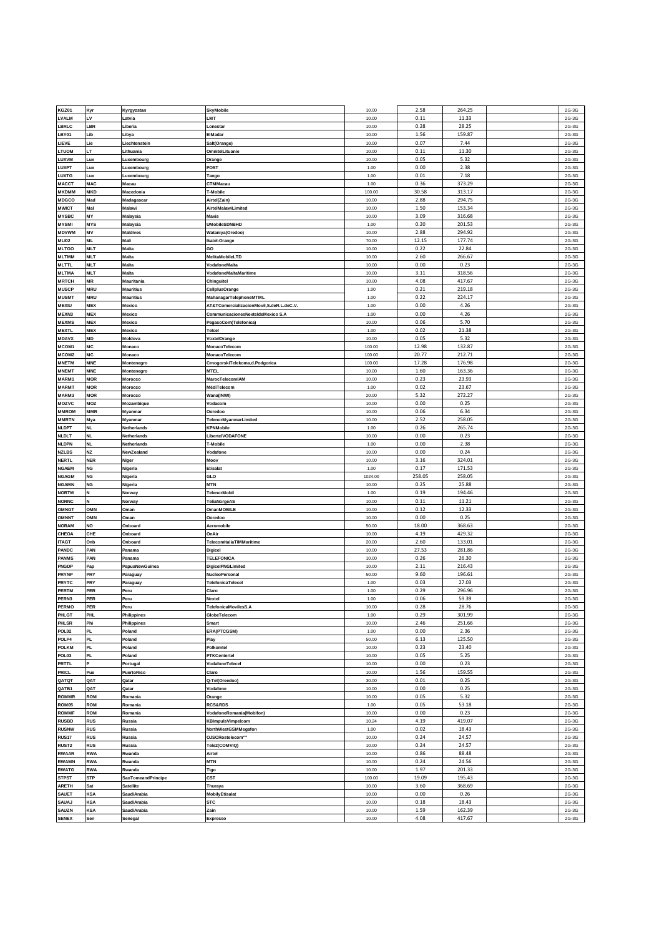| KGZ01                        | Kyr               | Kyrgyzstan             | <b>SkyMobile</b>                         | 10.00          | 2.58         | 264.25           | 2G-3G          |
|------------------------------|-------------------|------------------------|------------------------------------------|----------------|--------------|------------------|----------------|
| VALM.                        | LV                | .atvia                 | LMT                                      | 10.00          | 0.11         | 11.33            | 2G-3G          |
| <b>BRLC</b>                  | LBR               | Liberia                | .onestar                                 | 10.00          | 0.28         | 28.25            | 2G-3G          |
|                              |                   |                        |                                          |                |              |                  |                |
| BY01                         | Lib               | Libya.                 | ElMadar                                  | 10.00          | 1.56         | 159.87           | 2G-3G          |
| LIEVE                        | Lie               | .iechtenstein          | Salt(Orange)                             | 10.00          | 0.07         | 7.44             | 2G-3G          |
| <b>TUOM</b>                  | LT                | Lithuania              | OmnitelLituanie                          | 10.00          | 0.11         | 11.30            | 2G-3G          |
|                              |                   | _uxembourg             |                                          |                |              |                  |                |
| <b>LUXVM</b>                 | Lux               |                        | Orange                                   | 10.00          | 0.05         | 5.32             | 2G-3G          |
| <b>UXPT</b>                  | Lux               | uxembourg.             | POST                                     | 1.00           | 0.00         | 2.38             | 2G-3G          |
| <b>LUXTG</b>                 | Lux               | _uxembourg             | Tango                                    | 1.00           | 0.01         | 7.18             | 2G-3G          |
|                              | <b>MAC</b>        | Macau                  | CTMMacau                                 | 1.00           | 0.36         | 373.29           | 2G-3G          |
| MACCT                        |                   |                        |                                          |                |              |                  |                |
| <b>MKDMM</b>                 | <b>MKD</b>        | Macedonia              | T-Mobile                                 | 100.00         | 30.58        | 313.17           | 2G-3G          |
| MDGCO                        | Mad               | Madagascai             | Airtel(Zain)                             | 10.00          | 2.88         | 294.75           | 2G-3G          |
| <b>MWICT</b>                 | Mal               | Malawi                 | AirtelMalawiLimited                      | 10.00          | 1.50         | 153.34           | 2G-3G          |
|                              |                   |                        |                                          |                |              |                  |                |
| <b>MYSBC</b>                 | MY                | Malaysia               | <b>Maxis</b>                             | 10.00          | 3.09         | 316.68           | 2G-3G          |
| <b>MYSMI</b>                 | <b>MYS</b>        | Malaysia               | <b>UMobileSDNBHD</b>                     | 1.00           | 0.20         | 201.53           | 2G-3G          |
| <b>MDVWM</b>                 | MV                | Maldives               | Wataniya(Oredoo)                         | 10.00          | 2.88         | 294.92           | 2G-3G          |
| <b>MLI02</b>                 | ML                | Mali                   |                                          | 70.00          | 12.15        | 177.74           | 2G-3G          |
|                              |                   |                        | Ikatel-Orange                            |                |              |                  |                |
| <b>MLTGO</b>                 | <b>MLT</b>        | Malta                  | GO                                       | 10.00          | 0.22         | 22.84            | 2G-3G          |
| <b>MLTMM</b>                 | <b>MLT</b>        | Malta                  | MelitaMobileLTD                          | 10.00          | 2.60         | 266.67           | 2G-3G          |
| MLTTL                        | <b>MLT</b>        | Malta                  | VodafoneMalta                            | 10.00          | 0.00         | 0.23             | 2G-3G          |
|                              | <b>MLT</b>        | Malta                  |                                          | 10.00          | 3.11         | 318.56           |                |
| MLTMA                        |                   |                        | VodafoneMaltaMaritime                    |                |              |                  | 2G-3G          |
| <b>MRTCH</b>                 | MR                | Mauritania             | Chinguitel                               | 10.00          | 4.08         | 417.67           | 2G-3G          |
| <b>MUSCP</b>                 | <b>MRU</b>        | <b>Mauritius</b>       | CellplusOrange                           | 1.00           | 0.21         | 219.18           | 2G-3G          |
| <b>MUSMT</b>                 | <b>MRU</b>        | Mauritius              | MahanagarTelephoneMTML                   | 1.00           | 0.22         | 224.17           | 2G-3G          |
|                              |                   |                        |                                          |                |              |                  |                |
| <b>MEXIU</b>                 | <b>MEX</b>        | Mexico                 | AT&TComercializacionMovil,S.deR.L.deC.V. | 1.00           | 0.00         | 4.26             | 2G-3G          |
| MEXN3                        | <b>MEX</b>        | Mexico                 | CommunicacionesNexteldeMexico S.A        | 1.00           | 0.00         | 4.26             | 2G-3G          |
| <b>MEXMS</b>                 | <b>MEX</b>        | Mexico                 | PegasoCom(Telefonica)                    | 10.00          | 0.06         | 5.70             | 2G-3G          |
| <b>MEXTL</b>                 | <b>MEX</b>        | Mexico                 | Telcel                                   | 1.00           | 0.02         | 21.38            | 2G-3G          |
|                              |                   |                        |                                          |                |              |                  |                |
| <b>MDAVX</b>                 | MD                | Moldova                | VoxtelOrange                             | 10.00          | 0.05         | 5.32             | 2G-3G          |
| MCOM1                        | MC                | Monaco                 | MonacoTelecom                            | 100.00         | 12.98        | 132.87           | 2G-3G          |
| MCOM2                        | MC                | Monaco                 | MonacoTelecom                            | 100.00         | 20.77        | 212.71           | 2G-3G          |
|                              |                   |                        |                                          |                |              |                  |                |
| <b>MNETM</b>                 | <b>MNE</b>        | Montenegro             | CrnogorskiTelekoma.d.Podgorica           | 100.00         | 17.28        | 176.98           | 2G-3G          |
| <b>MNEMT</b>                 | <b>MNE</b>        | Montenegro             | <b>MTEL</b>                              | 10.00          | 1.60         | 163.36           | 2G-3G          |
| MARM1                        | <b>MOR</b>        | Morocco                | MarocTelecomIAM                          | 10.00          | 0.23         | 23.93            | 2G-3G          |
| <b>MARMT</b>                 | <b>MOR</b>        | Morocco                | MédiTelecom                              | 1.00           | 0.02         | 23.67            | 2G-3G          |
|                              |                   |                        |                                          |                |              |                  |                |
| MARM3                        | <b>MOR</b>        | Morocco                | Wana(INWI)                               | 20.00          | 5.32         | 272.27           | 2G-3G          |
| MOZVC                        | MOZ               | Mozambique             | Vodacom                                  | 10.00          | 0.00         | 0.25             | 2G-3G          |
| <b>MMROM</b>                 | MMR               | Myanmar                | Ooredoo                                  | 10.00          | 0.06         | 6.34             | 2G-3G          |
|                              |                   |                        |                                          |                | 2.52         |                  |                |
| <b>MMRTN</b>                 | Mya               | Myanmar                | TelenorMyanmarLimited                    | 10.00          |              | 258.05           | 2G-3G          |
| <b>NLDPT</b>                 | <b>NL</b>         | Vetherlands            | <b>KPNMobile</b>                         | 1.00           | 0.26         | 265.74           | 2G-3G          |
| <b>NLDLT</b>                 | <b>NL</b>         | Vetherlands            | LibertelVODAFONE                         | 10.00          | 0.00         | 0.23             | 2G-3G          |
| <b>NLDPN</b>                 | NL                | Vetherlands            | T-Mobile                                 | 1.00           | 0.00         | 2.38             | 2G-3G          |
|                              |                   |                        |                                          |                |              |                  |                |
| <b>NZLBS</b>                 | NZ                | NewZealand             | Vodafone                                 | 10.00          | 0.00         | 0.24             | 2G-3G          |
|                              |                   |                        |                                          |                |              |                  |                |
| <b>NERTL</b>                 | <b>NER</b>        | Niger                  | Moov                                     | 10.00          | 3.16         | 324.01           | 2G-3G          |
|                              |                   |                        |                                          |                |              |                  |                |
| <b>NGAEM</b>                 | NG                | Nigeria                | Etisalat                                 | 1.00           | 0.17         | 171.53           | 2G-3G          |
| <b>NGAGM</b>                 | NG                | Nigeria                | GLO                                      | 1024.00        | 258.05       | 258.05           | 2G-3G          |
| <b>NGAMN</b>                 | <b>NG</b>         | Nigeria                | <b>MTN</b>                               | 10.00          | 0.25         | 25.88            | 2G-3G          |
| <b>NORTM</b>                 | N                 | Norway                 | <b>TelenorMobil</b>                      | 1.00           | 0.19         | 194.46           | 2G-3G          |
|                              |                   |                        |                                          |                |              |                  |                |
| NORNC                        |                   | Norway                 | TeliaNorgeAS                             | 10.00          | 0.11         | 11.21            | 2G-3G          |
| OMNGT                        | OMN               | Oman                   | <b>OmanMOBILE</b>                        | 10.00          | 0.12         | 12.33            | 2G-3G          |
| OMNNT                        | OMN               | Oman                   | Ooredoo                                  | 10.00          | 0.00         | 0.25             | 2G-3G          |
|                              |                   |                        |                                          |                |              |                  |                |
| <b>NORAM</b>                 | NO                | Onboard                | Aeromobile                               | 50.00          | 18.00        | 368.63           | 2G-3G          |
| <b>CHEOA</b>                 | CHE               | Onboard                | OnAir                                    | 10.00          | 4.19         | 429.32           | 2G-3G          |
| <b>ITAGT</b>                 | Onb               | Onboard                | TelecomitaliaTIMMaritime                 | 20.00          | 2.60         | 133.01           | 2G-3G          |
| PANDC                        | PAN               | Panama                 | Digicel                                  | 10.00          | 27.53        | 281.86           | 2G-3G          |
|                              |                   |                        |                                          |                |              |                  |                |
| <b>PANMS</b>                 | PAN               | Panama                 | <b>TELEFONICA</b>                        | 10.00          | 0.26         | 26.30            | 2G-3G          |
| PNGDP                        | Pap               | PapuaNewGuinea         | DigicelPNGLimited                        | 10.00          | 2.11         | 216.43           | 2G-3G          |
| PRYNP                        | PRY               | Paraguay               | <b>NucleoPersonal</b>                    | 50.00          | 9.60         | 196.61           | 2G-3G          |
| PRYTC                        | PRY               | Paraguay               | TelefonicaTelecel                        | 1.00           | 0.03         | 27.03            | 2G-3G          |
|                              |                   |                        |                                          |                |              |                  |                |
| PERTM                        | PER               | Peru                   | Claro                                    | 1.00           | 0.29         | 296.96           | 2G-3G          |
| PERN3                        | PER               | Peru                   | Nextel                                   | 1.00           | 0.06         | 59.39            | 2G-3G          |
| PERMO                        | PER               | Peru                   | TelefonicaMovilesS.A                     | 10.00          | 0.28         | 28.76            | 2G-3G          |
| PHLGT                        | <b>PHL</b>        | Philippines            | GlobeTelecom                             | 1.00           | 0.29         | 301.99           | 2G-3G          |
|                              |                   |                        |                                          |                |              |                  |                |
| PHLSR                        | Phi               | Philippines            | Smart                                    | 10.00          | 2.46         | 251.66           | 2G-3G          |
| POL02                        | PL.               | Poland                 | ERA(PTCGSM)                              | 1.00           | 0.00         | 2.36             | 2G-3G          |
| POLP4                        | PL.               | Poland                 | Play                                     | 50.00          | 6.13         | 125.50           | 2G-3G          |
|                              | <b>PL</b>         |                        |                                          |                |              |                  |                |
| POLKM                        |                   | Poland                 | Polkomtel                                | 10.00          | 0.23         | 23.40            | 2G-3G          |
| POL03                        | PL                | Poland                 | <b>PTKCentertel</b>                      | 10.00          | 0.05         | 5.25             | 2G-3G          |
| PRTTL                        |                   | Portugal               | VodafoneTelecel                          | 10.00          | 0.00         | 0.23             | 2G-3G          |
| PRICL                        | Pue               | PuertoRico             | Claro                                    | 10.00          | 1.56         | 159.55           | 2G-3G          |
|                              |                   |                        |                                          |                |              |                  |                |
| QATQT                        | QAT               | Qatar                  | Q-Tel(Oreedoo)                           | 30.00          | 0.01         | 0.25             | 2G-3G          |
| QATB1                        | QAT               | Qatar                  | Vodafone                                 | 10.00          | 0.00         | 0.25             | 2G-3G          |
| ROMMR                        | <b>ROM</b>        | Romania                | Orange                                   | 10.00          | 0.05         | 5.32             | 2G-3G          |
| ROM05                        | ROM               | Romania                | <b>RCS&amp;RDS</b>                       | 1.00           | 0.05         | 53.18            | 2G-3G          |
|                              |                   |                        |                                          |                |              |                  |                |
| ROMMF                        | ROM               | Romania                | VodafoneRomania(Mobifon)                 | 10.00          | 0.00         | 0.23             | 2G-3G          |
| RUSBD                        | RUS               | ₹ussia                 | KBImpulsVimpelcom                        | 10.24          | 4.19         | 419.07           | 2G-3G          |
| <b>RUSNW</b>                 | <b>RUS</b>        | Russia                 | NorthWestGSMMegafon                      | 1.00           | 0.02         | 18.43            | 2G-3G          |
|                              |                   |                        |                                          |                |              |                  |                |
| RUS <sub>17</sub>            | <b>RUS</b>        | Russia                 | OJSCRostelecom""                         | 10.00          | 0.24         | 24.57            | 2G-3G          |
| <b>RUST2</b>                 | <b>RUS</b>        | Russia                 | Tele2(COMVIQ)                            | 10.00          | 0.24         | 24.57            | 2G-3G          |
| RWAAR                        | RWA               | ₹wanda                 | Airtel                                   | 10.00          | 0.86         | 88.48            | 2G-3G          |
| RWAMN                        | <b>RWA</b>        | Rwanda                 | <b>MTN</b>                               | 10.00          | 0.24         | 24.56            | 2G-3G          |
|                              |                   |                        |                                          |                |              |                  |                |
| <b>RWATG</b>                 | <b>RWA</b>        | Rwanda                 | Tigo                                     | 10.00          | 1.97         | 201.33           | 2G-3G          |
| <b>STPST</b>                 | STP               | SaoTomeandPrincipe     | CST                                      | 100.00         | 19.09        | 195.43           | 2G-3G          |
| <b>ARETH</b>                 | Sat               | Satellite              | Thuraya                                  | 10.00          | 3.60         | 368.69           | 2G-3G          |
| SAUET                        | <b>KSA</b>        | SaudiArabia            | <b>MobilyEtisalat</b>                    | 10.00          | 0.00         | 0.26             | 2G-3G          |
|                              |                   |                        |                                          |                |              |                  |                |
| <b>SAUAJ</b>                 | <b>KSA</b>        | SaudiArabia            | <b>STC</b>                               | 10.00          | 0.18         | 18.43            | 2G-3G          |
| <b>SAUZN</b><br><b>SENEX</b> | <b>KSA</b><br>Sen | SaudiArabia<br>Senegal | Zain                                     | 10.00<br>10.00 | 1.59<br>4.08 | 162.39<br>417.67 | 2G-3G<br>2G-3G |